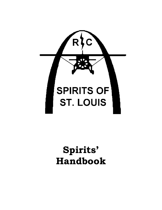

# **Spirits' Handbook**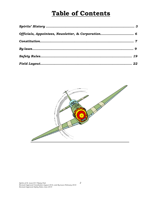## **Table of Contents**

| Officials, Appointees, Newsletter, & Corporation 6 |  |
|----------------------------------------------------|--|
|                                                    |  |
|                                                    |  |
|                                                    |  |
|                                                    |  |

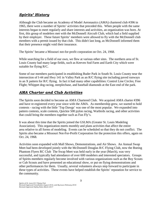#### *Spirits' History*

Although the Club became an Academy of Model Aeronautics (AMA) chartered club #396 in 1965, there were a number of Spirits' activities that preceded this. When people with the same interests began to meet regularly and share interests and activities, an organization was born. At first, this group of modelers met with the McDonnell Aircraft Club, which had a field supplied by their employer. These future Spirits' members were allowed to fly with the McDonnell club members with a permit issued by that club. This didn't last long, as McDonnell informed them that their presence might void their insurance.

The Spirits' became a Missouri not-for-profit corporation on Oct. 24, 1968.

While searching for a field of our own, we flew at various other sites. The northern area of St. Louis County had many large fields, such as Keeven Sod Farm and Earth City which were suitable for flying R/C.

Some of our members participated in establishing Buder Park in South St. Louis County near the intersection of I-44 and Hwy 141 in Valley Park as an R/C flying site including paved runways in an X pattern for R/C flying. In fact it had many other capabilities: Control Line Circles; Free Flight; Whippet dog racing, steeplechase, and baseball diamonds at the East end of the park.

#### *AMA Charter and Club Activities*

The Spirits soon decided to become an AMA Chartered Club. We acquired AMA charter #396 and have re-registered every year since with the AMA. As membership grew, we started to hold contests - racing with the little 'Top Dawgs' was one of the most popular. We expanded into pattern contests, scale contests, Quickie 500 pylon racing, Warbirds racing, and other activities that could bring the members together such as Fun Fly's.

It was about this time that the Spirits joined the GSLMA (Greater St. Louis Modeling Association). This organization meets monthly and plans activities that affect the entire area relative to all forms of modeling. Events can be scheduled so that they do not conflict. The Spirits also became a Missouri Not-For-Profit Corporation for the protection this offers, again on Oct. 24, 1968.

Activities soon expanded with Mall Shows, Demonstrations, and Air Shows. An Annual Swap Meet had been developed jointly with the McDonnell Douglas R/C Flying Club, now the Boeing Phantom Flyers RC Club The Swap Meet was held early in the year (March), was very successful, and typically had attendance of over 600 modelers and interested spectators. Groups of Spirits members regularly become involved with various organizations such as the Boy Scouts or Cub Scouts and have presented an educational show, or put on flying demonstrations and other performances for them. Usually, several volunteers always step forward to participate in these types of activities. These events have helped establish the Spirits' reputation for service to the community.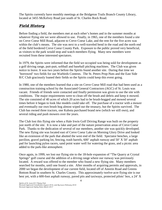The Spirits currently have monthly meetings at the Bridgeton Trails Branch County Library, located at 3455 McKelvey Road just south of St. Charles Rock Road.

#### *Field History*

Before finding a field, the members met at each other's homes and in the summer months at whatever flying site we were allowed to use. Finally, in 1965, one of the members found a site on Creve Coeur Mill Road, adjacent to Creve Coeur Lake, and the rent for the five acres was within the club's means. The site was next to a well-traveled bend in the road and the north end of the field bordered Creve Coeur County Park. Exposure to the public proved very beneficial, as visitors to the park would stop and watch members flying. Many new members were recruited from these interested spectators.

In 1979, the Spirits were informed that the field we occupied was being sold for development as a golf driving range, putt-putt, softball and baseball pitching machines. The Club was given notice to leave. It was two years before the Spirits found another site. During that time we 'borrowed' two fields for our Warbirds Contests. The St. Peters Prop-Nuts and the East Side R/C Club graciously loaned their fields so the Spirits could keep this event going.

In 1980, one of the members learned that a site on Creve Coeur Mill road that had been used as a construction training school by the Associated General Contractors (AGC) of St. Louis was vacant. Friends of friends were contacted and finally permission was given to use the site with conditions. The major requirements were to clean off the brush and debris and keep it mowed. The site consisted of 40 acres of which 20 acres had to be brush-hogged and mowed several times before it began to look like models could take off. The purchase of a tractor with a mower and eventually our own brush hog almost wiped out the treasury, but the Spirits survived. The Club has owned three tractors, one Kubota purchased brand new (which we still own), and several riding and push mowers over the years.

The Club lost this flying site when a Hale Irwin Golf Driving Range was built on the property just north of the site. It is now a lake and part of the nature preservation areas of Creve Coeur Park. Thanks to the dedication of several of our members, another site was quickly developed. The new flying site was located east of Creve Coeur Lake on Morning Glory Drive and looked like an extension of the park that abutted the west end of the field. Spectator benches, a large pavilion, gravel parking lot, fencing, trash barrels, 600' asphalt runway and 50' X 50' asphalt pad for launching pylon racers, sand point water well for watering the grass, and a picnic area added to the park-like atmosphere.

Once again, in 1999, we lost our flying site to the 18-hole expansion of "The Quarry at Crystal Springs" golf course and the addition of a driving range where our runway was previously located. A reward was offered to the member who found a new flying site. Many members searched for months, until one found a site. After months of acquiring permits and approvals, in 2000 we began the development of our current field, located off of Amrein Road and Greens Bottom Road in southern St. Charles County. This approximately twelve-acre flying site is our best yet, with a 600-foot asphalt runway, paved pits and taxiways, protected pilots' box, a 24' X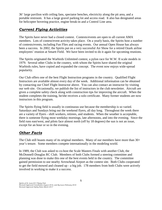36' large pavilion with ceiling fans, spectator benches, electricity along the pit area, and a portable restroom. It has a large gravel parking lot and access road. It also has designated areas for helicopter hovering practice, engine break-in and a Control Line area.

#### *Current Flying Activities*

The Spirits have never had a closed contest. Contests/events are open to all current AMA members. Lots of contest/event activity takes place. On a yearly basis, the Spirits host a number of contests/events, including Fun Flies and racing events. Our annual Open House has always been a success. In 2002, the Spirits put on a very successful Air Show for a retired Ozark airline employees' reunion at Smartt Field. We have been invited to do it again for upcoming reunions.

The Spirits originated the Warbirds Unlimited contest, a pylon race for W.W. II scale models in 1979. Several other Clubs in the country, with whom the Spirits have shared the original Warbirds rules, have copied and expanded the concept. The event now enjoys wide-spread popularity.

Our Club offers one of the best Flight Instruction programs in the country. Qualified Flight Instructors are available almost every day of the week. Additional information can be obtained by contacting our Chief Flight Instructor above. You can also contact an instructor by visiting our web site. Occasionally, we publish the list of instructors in the club newsletter. Aircraft are given a complete safety check along with construction tips for improving the aircraft. When the student completes the training, he/she receives a solo certificate. Many former students are now instructors in this program.

The Spirits flying field is usually in continuous use because the membership is so varied. Saturdays and Sundays bring out the weekend flyers, all day long. Throughout the week there are a variety of flyers - shift workers, retirees, and students. When the weather is acceptable, there is someone flying most weekday mornings, late afternoons, and into the evening. Since the field runs east/west, and pilots face almost north (off by 18 degrees) the sun is not an issue, except for an hour or so in the evening.

#### *Other Facts*

The Club still boasts many of its original members. Many of our members have more than 30+ year's tenure. Some members compete internationally in the modeling world.

In 1989, the Club was asked to co-host the Scale Masters Finals with another Club, the McDonnell-Douglas RC Club. Members of both Clubs formed a steering committee and planning was done to make this one of the best events held in the country. The committee gained permission to use nearby Arrowhead Airport as the contest site. Both Clubs cooperated to get the field mowed and cleaned up - a big job. 178 members from both Clubs were actively involved in working to make it a success.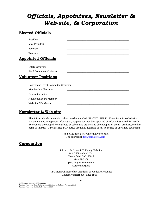## *Officials, Appointees, Newsletter & Web-site, & Corporation*

#### **Elected Officials**

| President                      |  |
|--------------------------------|--|
| Vice President                 |  |
| Secretary                      |  |
| <b>Treasurer</b>               |  |
| <b>Appointed Officials</b>     |  |
| <b>Safety Chairman</b>         |  |
| Field Committee Chairman       |  |
| <b>Volunteer Positions</b>     |  |
|                                |  |
| Membership Chairman            |  |
| Newsletter Editor              |  |
| <b>Additional Board Member</b> |  |
|                                |  |

#### **Newsletter & Web-site**

Web-Site Web-Master

The Spirits publish a monthly on-line newsletter called "FLIGHT LINES". Every issue is loaded with current and upcoming event information, keeping our members apprised of today's fast paced R/C world. Everyone is encouraged to contribute by submitting articles and photographs on events, products, or other items of interest. Our classified FOR SALE section is available to sell your used or unwanted equipment

> The Spirits have a very informative website. The address is: http://spiritsofstl.com

#### **Corporation**

Spirits of St. Louis R/C Flying Club, Inc 14243 Kinderhook Dr. Chesterfield, MO. 63017 314-469-3209 *(Mr. Wayne Nenninger)* Corporate Agent

An Official Chapter of the Academy of Model Aeronautics Charter Number: 396, since 1965

*Spirits of St. Louis R/C Flying Club Revised/Approved Constitution August 2016, and By-Laws February 2018 Revised/Approved Safety Rules March 2017*

6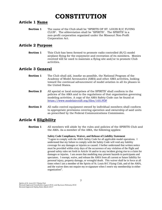## **CONSTITUTION**

#### **Article 1 Name**

**Section 1** The name of the Club shall be "SPIRITS OF ST. LOUIS R/C FLYING CLUB". The abbreviation shall be "SPIRITS". The SPIRITS' is a non-profit corporation organized under the Missouri Non-Profit Corporation Act.

#### **Article 2 Purpose**

**Section 1** This Club has been formed to promote radio controlled (R/C) model airplane flying for the enjoyment and recreation of its members. Monies received will be used to maintain a flying site and/or to promote Club activities.

#### **Article 3 General**

- **Section 1** The Club shall aid, insofar as possible, the National Program of the Academy of Model Aeronautics (AMA) and other AMA activities, looking toward the continual advancement of model aviation in all its phases in the United States.
- **Section 2** All special or local enterprises of the SPIRITS' shall conform to the policies of the AMA and to the regulations of that organization governing modeling activities. A copy of the AMA Safety Code can be found at <https://www.modelaircraft.org/files/105.PDF>
- **Section 3** All radio control equipment owned by individual members shall conform to appropriate provisions covering operation and ownership of said units as prescribed by the Federal Communications Commission.

#### **Article 4 Eligibility**

**Section 1** All members will abide by the rules and policies of the SPIRITS Club and the AMA*.* As a member of the AMA, the following applies:

> **Safety Code Compliance, Waiver, and Release of Liability Statement**  "I agree to comply with the AMA Safety Code for all applicable model operations. I understand that my failure to comply with the Safety Code will void any liability coverage for any damages or injuries so caused. I further understand that written notice must be provided within sixty days of the occurrence of any violation of the flight and ground safety rules set forth in Article 16 and/or in any incident giving rise to a claim for damages or injuries. I am aware that modeling may present hazards to participants and spectators. I exempt, waive, and release the AMA from all current or future liability for personal injury, property damage, or wrongful death. This waiver shall be in force at all times when I am a member of the Spirits of St. Louis R/C Flying Club, and of the AMA, and the waiver does not require my re-signature when I renew my membership in either organization".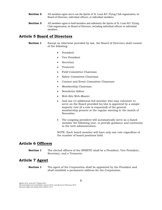- **Section 2** All members agree not to sue the Spirits of St. Louis R/C Flying Club organization, its Board of Directors, individual officers, or individual members.
- **Section 3** All members agree to hold harmless and indemnify the Spirits of St. Louis R/C Flying Club organization, its Board of Directors, including individual officers or individual members.

#### **Article 5 Board of Directors**

**Section 1** Except as otherwise provided by law, the Board of Directors shall consist of the following:

- President
- Vice President
- **Secretary**
- Treasurer
- Field Committee Chairman
- Safety Committee Chairman
- Contest and Event Committee Chairman
- Membership Chairman
- Newsletter Editor
- Web-Site Web-Master
- And one (1) additional full member who may volunteer to serve on the Board provided he/she is approved by a simple majority vote (if a vote is requested) of the general membership present at the regular meeting in the month of November.
- The outgoing president will automatically serve as a board member the following year, to provide guidance and continuity to the next administration.

NOTE: Each board member will have only one vote regardless of the number of board positions held.

#### **Article 6 Officers**

**Section 1** The elected officers of the SPIRITS' shall be a President, Vice President, Secretary, and a Treasurer.

#### **Article 7 Agent**

**Section 1** The agent of the Corporation shall be appointed by the President and shall establish a permanent address for the Corporation.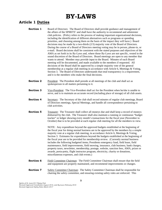## **BY-LAWS**

#### **Article 1 Duties**

- **Section 1** Board of Directors: The Board of Directors shall provide guidance and management of the affairs of the SPIRITS' and shall have the authority to recommend and administer club policies.(Policy refers to the process of making important organizational decisions, including the identification of different alternatives such as programs or spending priorities, and choosing among them on the basis of the impact they will have.) Board decisions may be made by a two-thirds (2/3) majority vote of the Board of Directors. During the course of a Board of Directors meeting voting may be in person, phone-in, or e-mail. Board decisions shall be consistent with the stated purposes and objectives of the AMA as set forth in its By-Laws and, where those By-Laws are not specific, vested in the sound discretion of the Board of Directors. Board meetings are open to any member that wants to attend. Member may provide input to the Board. Minutes of each Board meeting will be documented, and made available to the members if requested. All decisions of the Board shall be approved by a simple majority vote of the general membership at a regular club meeting in accordance with Article 6, Meetings & Voting, Section 3. The Board of Directors understands that total transparency is a requirement, and it is the members who make the final decisions.
- **Section 2** President: The President shall preside at all meetings of the club and shall act as spokesperson in all matters pertaining to it.
- **Section 3** Vice-President: The Vice-President shall act for the President when he/she is unable to serve, and is to maintain an accurate record (including place of storage) of all club assets.
- **Section 4** Secretary: The Secretary of the club shall record minutes of regular club meetings, Board of Directors meetings, Special Meetings, and handle all correspondence pertaining to club activities.
- **Section 5** Treasurer: The Treasurer shall collect all moneys due and shall keep a record of moneys disbursed by the club. The Treasurer shall also maintain a running or continuous "budget tracker" or ledger showing every month's transactions for the fiscal year (November to October) that is to be provided at each regular club meeting for all the members to view.

NOTE: Any expenditure beyond the approved budgets established at the beginning of the fiscal year for doing normal business are to be approved by the members by a simple majority vote at a regular club meeting, in accordance Article 6, Meetings & Voting, Section 3. Estimates for expenditures beyond the budgets established at the beginning of the fiscal year are to be provided for membership review. (Currently normal business includes the following budgeted items; Presidents emergency fund, field lease, field maintenance, field improvements, field mowing, insurance, club business, bank charges, property taxes, newsletter, membership, postage, website, sanction fees, AMA, prizes or awards, porta-potty, flight instructor program, electricity, charity or donations, miscellaneous expenses, and club events.)

- **Section 6** Field Committee Chairman: The Field Committee Chairman shall ensure that the field and equipment are properly maintained, and recommend improvements or changes.
- **Section 7** Safety Committee Chairman: The Safety Committee Chairman shall be responsible for chairing the safety committee, and ensuring existing safety rules are enforced. This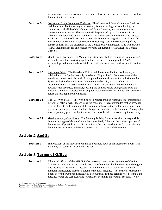includes processing the grievance forms, and following the existing grievance procedure documented in the By-Laws.

- **Section 8** Contest and Event Committee Chairman: The Contest and Event Committee Chairman shall be responsible for setting up a meeting, for coordinating and establishing, in conjunction with all the club's Contest and Event Directors, a schedule for the next contest and event season. The schedule will be proposed by the Contest and Event Directors, and approved by the members at the earliest possible meeting. The Contest and Event Committee Chairman is responsible for coordinating with other clubs in the area to preclude conflicts in contest/event scheduling. Weather rescheduling of any contest or event is at the discretion of the Contest or Event Director. Club will provide AMA sanctioning fee for all contests or events conducted by AMA licensed Contest Directors.
- **Section 9** Membership Chairman: The Membership Chairman shall be responsible for collecting all membership dues, verifying applicant has provided required proof of AMA membership, and maintain the official club roster (in accordance with Article 7, Section 6).
- **Section 10** Newsletter Editor: The Newsletter Editor shall be responsible for coordination, and publication of the Spirits' monthly newsletter "Flight Lines". Each new issue of the newsletter, in electronic form, shall be supplied to the web-master for inclusion on the Spirits' web site where it is accessible to the membership, and the public. It is recommended that an associate editor will act as assistant editor and will review the newsletter for accuracy, grammar, spelling and content before being published to the website. A monthly newsletter will be published on the web-site no later than one week before the next regular club meeting.
- **Section 11** Web-Site Web-Master: The Web-Site Web-Master shall be responsible for maintaining the Spirits' official web-site, and its entire contents. It is recommended that an associate web-master with edit capability of the web-site, act as assistant editor to review accuracy, grammar, spelling and content before changes are published to the web-site. Photographs may be promptly posted without review. Care must be taken to assure caption accuracy.
- **Section 12** Meeting Activity Coordinator: The Meeting Activity Coordinator shall be responsible for coordinating model-related activities immediately following the business portion of the meeting. If possible an e-mail, or notice in the club newsletter, will be sent alerting the members what topic will be presented at the next regular club meeting.

#### **Article 2 Audits**

**Section 1** The President or his appointee will make a periodic audit of the Treasurer's books. An audit may be requested by any club member.

#### **Article 3 Terms of Office**

**Section 1** All elected officers of the SPIRITS' shall serve for one (1) year from date of election. Officers are to be elected by a simple majority of votes cast by the members at the regular club meeting in the month of October. E-mail ballots will be made available to all members immediately after the September monthly meeting. Those ballots, returned by e-mail before the October meeting, will be counted as if those persons were present at the meeting. Votes are cast according to Article 6, Meetings and Voting, Section 3. New

*Spirits of St. Louis R/C Flying Club Revised/Approved Constitution August 2016, and By-Laws February 2018 Revised/Approved Safety Rules March 2017*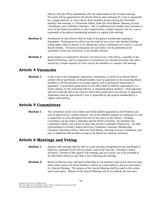officers will take office immediately after the adjournment of the October meeting. Personnel will be appointed by the elected officers and confirmed (if a vote is requested) by a simple majority of votes cast by those members present during the November monthly club meeting: i.e. Newsletter Editor, Web-Site Web-Master, Meeting Activity Coordinator, and Committee Chairmen. One (1) additional full member may volunteer to serve on the Board provided he or she is approved by a simple majority vote (if a vote is requested) of the general membership present at a regular club meeting.

- **Section 2** Nomination of club officers shall be made at the general membership meeting in September. Nominations for office may be made by any active club member holding voting rights, either in person or by submitting a proxy nomination via e-mail to a current Board member. All known nominations for each office will be published in the newsletter at least one week prior to the October election.
- **Section 3** Secret ballots are required for elections, for removal of a club officer, a member of the Board of Directors, and for suspension or termination of a member from the club unless waived by a simple majority of votes cast by the members at a regular club meeting.

#### **Article 4 Vacancies**

**Section 1** In the event of the resignation, suspension, termination, or death of an elected officer, another officer (preferred), or Board member, may be appointed by the remaining Board members to fill the position in an acting capacity until a permanent replacement is appointed. A permanent replacement in any office shall be filled by appointment, in a timely manner, by the remaining officers, or remaining Board members. Such appointee will serve until the end of the term for which their predecessor was elected, or appointed. Appointees must be approved (if a vote is requested) by the general membership at a regular club meeting.

#### **Article 5 Committees**

**Section 1** The committees of the club (Safety and Field) shall be appointed by the President and may be approved by a simple majority vote of the members present at a meeting (if a vote is requested), to serve throughout the term of the tenure of the officers. Standing Committees are the Safety Committee and the Field Committee. By definition the Committees ideally will consist of more than just the Committee Chairperson. All other club positions to include Contest and Event Committee Chairman, Membership Chairman, Newsletter Editor, Web-Site Web-Master, Meeting Activity Coordinator, and one (1) additional full member serving on the Board are voluntary positions.

#### **Article 6 Meetings and Voting**

- **Section 1** Regular club meetings shall be held at a time and place designated by the club Board of Directors, published in the club newsletter, and on the web-site. President's Notes, Secretary's minutes of the regular club meeting, and any articles, are to be provided to the Newsletter Editor no later than 5 days following the meeting.
- **Section 2** Board of Directors may call Special Meetings for all members with no less than five days prior written notice (for those members without an e-mail address), and an e-mail notice of a Special Meeting. The purpose of the Special Meeting shall be stated in the written and e-mail notice. Minutes of the Special Meeting will be recorded by the Secretary.

*Spirits of St. Louis R/C Flying Club Revised/Approved Constitution August 2016, and By-Laws February 2018 Revised/Approved Safety Rules March 2017*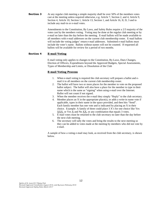**Section 3** At any regular club meeting a simple majority shall be over 50% of the members votes cast at the meeting unless required otherwise, e.g. Article 7, Section 2, and 4, Article 9, Section 4, Article 10, Section 1, Article 13, Section 1, and Article 16, II, D, 3 and to include any mail-in or e-mail votes.

> Amendments to the Constitution, By Laws, and Safety Rules require a 2/3 majority of the votes cast by the members voting. Voting may be done at the regular club meeting or by e-mail no later than the day before the meeting. E-mail ballots will be made available to all members with e-mail addresses on the current club membership roster. E-mail ballots will include the voting judges' return e-mail addresses. Submitted e-mail ballots must include the voter's name. Ballots without names will not be counted. If requested all ballots will be available for review for a period of two months.

#### **Section 4 E-mail Voting**

E-mail voting only applies to changes to the Constitution, By-Laws, Dues Changes, Election of Officers, Expenditures beyond the Approved Budgets, Special Assessments, Types of Membership and Limits, or Dissolution of the Club

#### **E-mail Voting Process**

- 1. When e-mail voting is required the club secretary will prepare a ballot and email it to all members on the current club membership roster.
- 2. The ballot will have two or more places for the member to vote on the proposed ballot subject. The ballot will also have a place for the member to type in their name which is the same as "signing" when using e-mail over the Internet. Ballot will not count if not signed.
- 3. When the member receives the e-mail they simply "Reply" to the club secretary.
- 4. Member places an X in the appropriate place(s), or adds a write-in name vote if applicable, types in their name in the space provided, and then hits "Send". Each family member has one vote and is indicated by placing an X in their choice. Example: A family of three could place 3 X's for one choice like Yes  $\overline{XXX}$ , or Yes  $\overline{X}$  and No  $\overline{XX}$ , or any combination that equals 3 votes.
- 5. E-mail votes must be returned to the club secretary no later than the day before the next club meeting.
- 6. The secretary will tally the votes and bring the results to the next meeting so they can be added to votes made at the meeting by members who did not vote by e-mail.

A sample of how a voting e-mail may look, as received from the club secretary, is shown below.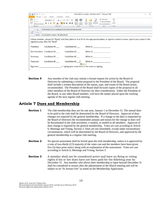| ß.<br>日の<br>15<br>$\rightarrow$<br>١÷                                                                                                                                              | Voting Subject for example: "Club Officers Ballot" - Message (HTML)                                                                                                                                                                           | п |
|------------------------------------------------------------------------------------------------------------------------------------------------------------------------------------|-----------------------------------------------------------------------------------------------------------------------------------------------------------------------------------------------------------------------------------------------|---|
| File<br>Message<br>Format Text<br>Options<br>Insert<br>Review                                                                                                                      |                                                                                                                                                                                                                                               |   |
| & Cut<br>Calibri (Bod) * 11 * A A   三 * 三 *   學<br>ਿ Copy<br>B I U <sup>by</sup> · A · F 三<br>Paste<br>Format Painter<br><b>Basic Text</b><br>$\overline{\mathbf{u}}$<br>Clipboard | Follow Up *<br>881<br>High Importance<br>- 住住<br>Address Check<br>Attach<br>Attach Signature<br>Zoom<br><b>I</b> Low Importance<br>Book Names<br>Item -<br>File<br>Include<br>Names<br>Tags<br>$\overline{\mathcal{M}}$<br>Zoom<br><b>Fai</b> |   |
| All Club Members with an e-mail address from the official Club Membership Roster<br>To                                                                                             |                                                                                                                                                                                                                                               |   |
| $\overline{a} =$<br>$C_{\text{C}}$                                                                                                                                                 |                                                                                                                                                                                                                                               |   |
| Send<br>Voting Subject for example: "Club Officers Ballot"<br>Subject:                                                                                                             |                                                                                                                                                                                                                                               |   |
|                                                                                                                                                                                    |                                                                                                                                                                                                                                               |   |
|                                                                                                                                                                                    |                                                                                                                                                                                                                                               |   |
|                                                                                                                                                                                    | Fellow memberplease hit "Reply" and then place an X or X's in the appropriate place, or type in a write-in name, type in your name in the                                                                                                     |   |
| signature area, then hit "Send"                                                                                                                                                    |                                                                                                                                                                                                                                               |   |
| Candidate #1 Candidate #2                                                                                                                                                          | <b>Write-In</b> and the second second second second second second second second second second second second second second second second second second second second second second second second second second second second second            |   |
| President<br>Vice President Candidate #1 Candidate #2                                                                                                                              | <b>Write-In Example 19</b>                                                                                                                                                                                                                    |   |
| Candidate #1 Candidate #2<br>Secretary                                                                                                                                             | <b>Write-In</b> and the second second second second second second second second second second second second second second second second second second second second second second second second second second second second second            |   |
| Candidate #1 Candidate #2<br><b>Treasurer</b>                                                                                                                                      | <b>Write-In and Service Service Service Service</b>                                                                                                                                                                                           |   |
| Signature Signature Signature Signature Signature Signature Signature Signature Signature Signature Signature S                                                                    | B (Ctrl) ▼                                                                                                                                                                                                                                    |   |

**Section 5** Any member of the club may initiate a formal request for action by the Board of Directors by submitting a written proposal to the President of the Board. The proposal shall include a written description of the nature, type, and extent of the Board action recommended. The President of the Board shall forward copies of the proposal to all other members of the Board of Directors for their consideration. Either the President of the Board, or any other Board member, will have the matter placed upon the working agenda of the next regular club meeting.

#### **Article 7 Dues and Membership**

- **Section 1** The club membership dues are for one year, January 1 to December 31. The annual dues to be paid to the club shall be determined by the Board of Directors. Approval of dues changes are required by the general membership. If a change to the dues is requested by the Board of Directors the recommended amount and reason for the change in dues will be documented in the club newsletter, e-mailed, or mailed to all members. Approval of dues change is required by the general membership. Votes are cast according to Article 6, Meetings and Voting, Section 3. Dues are not refundable, except under extraordinary circumstances, which will be determined by the Board of Directors, and approved by the general membership at a regular club meeting.
- **Section 2** No special assessment shall be levied upon the club membership, unless it is approved by a vote of two-thirds (2/3) majority of the votes cast and the members have been given five (5) days prior notice along with an explanation of the assessment. Votes are cast according to Article 6, Meetings and Voting, Section 3.
- **Section 3** A member shall not be considered active and have no flying or voting rights if his or her dues have not been paid for the following year by December 31. Any member who allows their membership to lapse beyond December 31 shall be considered in arrears after the adjournment of the March meeting and will be subject to an "In Arrears Fee" as noted on the Membership Application.

*Spirits of St. Louis R/C Flying Club Revised/Approved Constitution August 2016, and By-Laws February 2018 Revised/Approved Safety Rules March 2017*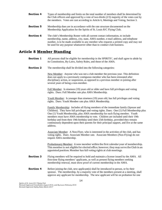- **Section 4** Types of membership and limits on the total number of members shall be determined by the Club officers and approved by a vote of two-thirds  $(2/3)$  majority of the votes cast by the members. Votes are cast according to Article 6, Meetings and Voting, Section 3.
- **Section 5** Membership dues are in accordance with the rate structure documented on the Membership Application for the Spirits of St. Louis R/C Flying Club.
- **Section 6** The club's Membership Roster with all current contact information, to include membership, name, address, city, state, AMA number, e-mail address, and telephone number, is to be made available to any member who requests a printed copy and may not be used for any purpose whatsoever other than to conduct club business.

#### **Article 8 Member Standing**

- **Section 1** All persons shall be eligible for membership in the SPIRITS', and shall agree to abide by its Constitution, By-Laws, Safety Rules, and those of the AMA.
- **Section 2** The membership shall be divided into the following categories:

New Member: Anyone who was not a club member the previous year. This definition does not apply to a previously contiguous member who has been reinstated after disciplinary action, or suspension, as opposed to a previous member re-joining after several years of being a non-member.

Full Member: Is nineteen (19) years old or older and have full privileges and voting rights. Dues: Full Member rate plus AMA Membership.

Youth Member: Is younger than nineteen (19) years old, has full privileges and voting rights. Dues: Youth Member rate plus AMA Membership.

Family Membership: Includes all flying members of the immediate family (Spouse and Children). They have full privileges and voting rights. Dues: One (1) Full Membership plus One (1) Youth Membership, plus AMA membership for each flying member. Youth members must have AMA membership to vote. Children are included until their 19th birthday and from their 19th birthday until their 25th birthday, provided they remain continuously dependent upon their parents for their principal support, and live at the same address.

Associate Member: A Non-Flyer, who is interested in the activities of the club, and has voting rights. Dues: Associate Member rate. Associate Members (Non-Flying) do not require AMA membership.

Probationary Member: A new member within the first calendar year of membership. This member is not eligible for elected office; however, they may serve the Club in an appointed position. Member has full voting rights at club meetings.

- **Section 3** Flying members will be required to hold and maintain a license issued by the AMA. All first-time flying members' applicants, as well as present flying members seeking membership renewal, must show proof of current membership in the AMA.
- **Section 4** Before joining the club, new applicant(s) shall be introduced in person, or by their sponsor. The membership, by a majority vote of the members present at a meeting, shall approve any applicant for membership. The new applicant will be on probation for one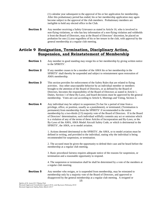(1) calendar year subsequent to the approval of his or her application for membership. After this probationary period has ended, his or her membership application may again become subject to the approval of the club members. Probationary members are ineligible to hold any elected office in the Club.

**Section 5** Any member receiving a Safety Grievance as stated in Article 16, who is involved in non-flying violations, or who has key information of a non-flying violation and withholds it from the Board of Directors, may at the Board of Directors' discretion, be placed on probation for one (1) year regardless of his or her tenure in the club, with approval by the general membership at a regular club meeting.

#### **Article 9 Resignation, Termination, Disciplinary Action, Suspension, and Reinstatement of Membership**

- **Section 1** Any member in good standing may resign his or her membership by giving written notice to the SPIRITS'.
- **Section 2** If any member ceases to be a member of the AMA his or her membership in the SPIRITS' shall thereby be suspended and subject to reinstatement upon restoration of AMA membership.
- **Section 3** This section provides for enforcement of the Safety Rules that are related to flying activities. Any other unacceptable behavior by an individual member or members brought to the attention of the Board of Directors, or as defined by the Board of Directors, becomes the responsibility of the Board of Directors as stated in Article 1, Duties, Section 1 of these By-Laws, and board decisions must be approved by the general membership. Votes are cast according to Article 6, Meetings and Voting, Section 3.
- **Section 4** Any individual may be subject to suspension (To bar for a period of time from a privilege, office, or position, usually as a punishment), or terminated, (Termination is permanent) from membership from the SPIRITS' if recommended to the entire membership by a two-thirds (2/3) majority vote of the Board of Directors. If in the Board of Directors' determination, such individual willfully commits any act or omission which is a violation of any of the terms of these Articles of Incorporation and By-Laws, or the By-Laws of the AMA, AMA Model Aircraft Safety Code, or which is detrimental to the SPIRITS', the AMA, or to model aviation.

1. Actions deemed detrimental to the SPIRITS', the AMA, or to model aviation must be defined in writing, and provided to the individual, stating why the individual is being recommended for suspension, or termination.

2. The accused must be given the opportunity to defend their case and be heard before the membership at a regular club meeting.

3. Basic procedural fairness requires adequate notice of the reasons for suspension, or termination and a reasonable opportunity to respond.

4. The suspension or termination shall be shall be determined by a vote of the members at a regular club meeting.

**Section 5** Any member who resigns, or is suspended from membership, may be reinstated to membership only by a majority vote of the Board of Directors, and approved or disapproved by the general membership at a regular club meeting. A resigned or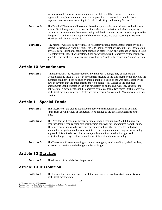suspended contiguous member, upon being reinstated, will be considered rejoining as opposed to being a new member, and not on probation. There will be no other fees imposed. Votes are cast according to Article 6, Meetings and Voting, Section 3.

- **Section 6** The Board of Directors shall have the discretionary authority to provide for and to impose written disciplinary action of a member for such acts or omissions which do not justify suspension or termination from membership and the disciplinary action must be approved by the general membership at a regular club meeting. Votes are cast according to Article 6, Meetings and Voting, Section 3.
- **Section 7** Any member who directs any witnessed retaliatory action against another member will be subject to suspension from the club. This is to include verbal or written threats, intimidation, physical harm, intentional equipment damage or, after review, any other action deemed to be retaliatory by the Board of Directors. Such suspension must be approved by the members at a regular club meeting. Votes are cast according to Article 6, Meetings and Voting, Section 3.

#### **Article 10 Amendments**

**Section 1** Amendments may be recommended by any member. Changes may be made to the Constitution and these By-Laws at any general meeting of the club membership provided the members shall have been notified by mail, e-mail, or posted on the web-site at least five (5) days in advance that the amendments are to be considered. Copies of the proposed amendments shall be posted in the club newsletter, or on the club web-site, as part of the notification. Amendments shall be approved by no less than a two-thirds (2/3) majority vote of the total members who vote. Votes are cast according to Article 6, Meetings and Voting, Section 3.

#### **Article 11 Special Funds**

- **Section 1** The Treasurer of the club is authorized to receive contributions or specially obtained funds from any individual or institution, to be applied to the operating expenses of the club.
- **Section 2** The President will have an emergency fund of up to a maximum of \$500.00 in any one year that doesn't require prior club membership approval for expenditures from the fund. The emergency fund is to be used only for an expenditure that exceeds the budgeted amount for an application that can't wait to the next regular club meeting for membership approval. It is not to be used for random purchases not included in the approved projected budget. Expenditures should benefit the entire club membership
- **Section 3** The Treasurer will keep a running account of emergency fund spending by the President, as a separate line item in the budget tracker or ledger.

#### **Article 12 Duration**

**Section 1** The duration of this club shall be perpetual.

#### **Article 13 Dissolution**

**Section 1** The Corporation may be dissolved with the approval of a two-thirds (2/3)-majority vote of the total membership.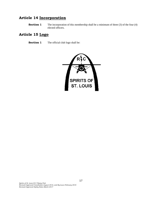### **Article 14 Incorporation**

**Section 1** The incorporation of this membership shall be a minimum of three (3) of the four (4) elected officers.

### **Article 15 Logo**

**Section 1** The official club logo shall be:

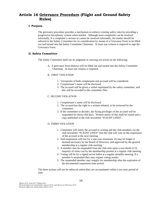#### **Article 16 Grievance Procedure (Flight and Ground Safety Rules)**

#### **I. Purpose**

The grievance procedure provides a mechanism to enforce existing safety rules by providing a progressive disciplinary system when needed. Although most complaints can be resolved informally, if a complaint is serious or cannot be resolved informally, the matter should be referred to the Safety Committee for its consideration by means of a Grievance Form to be filled out and turned into the Safety Committee Chairman. At least one witness is required to sign the Grievance Form.

#### **II. Safety Committee**

The Safety Committee shall use its judgment in carrying out action on the following:

A. A grievance form (below) will be filled out and turned into the Safety Committee Chairman. At least one witness is required.

#### B. FIRST VIOLATION

- 1. Viewpoints of both complainant and accused will be considered.
- 2. *Complainant's name will be disclosed.*
- 3. The accused will be given a verbal reprimand by the safety committee, and this will be recorded in the committee files.

#### C. SECOND VIOLATION

- 1. *Complainant's name will be disclosed.*
- 2. The accused has the right to a written rebuttal, to be reviewed by the committee.
- 3. If the committee so decides, the flying privileges of the accused will be suspended for thirty (30) days. Written notice of this shall be issued and a copy published in the club newsletter "FLIGHT LINES".

#### D. THIRD VIOLATION

- 1. Committee will notify the accused in writing and the club members via the club newsletter "FLIGHT LINES" that the club will vote on the suspension of the accused at the next meeting.
- 2. Said suspension will last for a one-year minimum. (It may be longer if deemed necessary by the Board of Directors, and approved by the general membership at a regular club meeting.
- 3. A member may be suspended from the club only upon a two-thirds (2/3) majority of votes cast by the membership present at a regular club meeting.
- 4. Voting will be by a signed secret ballot at a regular monthly meeting. If a member is suspended they may request voting results.
- 5. The suspended member may reapply for membership after the expiration of the documented suspension time period.

The three actions will not be enforced unless they are accumulated within a two-year period of time.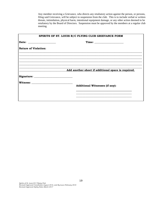Any member receiving a Grievance, who directs any retaliatory action against the person, or persons, filing said Grievance, will be subject to suspension from the club. This is to include verbal or written threats, intimidation, physical harm, intentional equipment damage, or any other action deemed to be retaliatory by the Board of Directors. Suspension must be approved by the members at a regular club meeting.

| SPIRITS OF ST. LOUIS R/C FLYING CLUB GRIEVANCE FORM |                                                    |  |
|-----------------------------------------------------|----------------------------------------------------|--|
|                                                     |                                                    |  |
| <b>Nature of Violation:</b>                         |                                                    |  |
|                                                     |                                                    |  |
|                                                     |                                                    |  |
|                                                     | Add another sheet if additional space is required. |  |
|                                                     |                                                    |  |
|                                                     | <b>Additional Witnesses (if any):</b>              |  |
|                                                     |                                                    |  |
|                                                     |                                                    |  |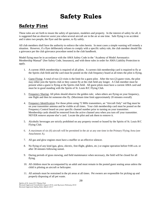## **Safety Rules**

### **Safety First**

These rules are set forth to insure the safety of spectators, modelers and property. In the interest of safety for all, it is suggested that an observer assist you when several aircraft are in the air at one time. Safe flying is no accident and it takes two people, the flyer and the spotter, to fly safely.

All club members shall have the authority to enforce the rules herein. In most cases a simple warning will remedy a situation. However, if a flyer deliberately refuses to comply with a specific safety rule, the club member should file a grievance per the club grievance procedure noted in the club handbook.

Model flying must be in accordance with the AMA Safety Code in the "Academy of Model Aeronautics Membership Manual" (See Safety Code, Insurance), and with these rules in order for AMA Liability Protection to apply.

- 1. A current AMA membership is required of all pilots. A current club membership card is required to fly at the Spirits club field and the card must be posted on the club frequency board at all times the pilot is flying.
- 2. Guest Flying: A total of two (2) visits is the limit for a guest pilot. After the two (2) guest visits, the pilot may either join the Spirits club or they cannot fly at the club field any longer. A Club member must be present when a guest is flying at the Spirits club field. All guest pilots must have a current AMA card and must be in good standing with the Spirits of St. Louis R/C Flying Club.
- 3. Frequency Sharing: All pilots should observe the golden rule; when others are flying on your frequency, one flight and then let someone else fly. (Maximum time limit approximately 20 minutes overall).
- 4. Frequency Identification: For those pilots using 72 MHz transmitters, an "Aircraft Only" red flag must be on your transmitter antenna and be visible at all times. Your club membership card must be posted on the Frequency Control board on your specific channel number prior to turning on your transmitter. Membership cards should be removed from the active channel area when you turn off your transmitter. NEVER remove anyone else's card. Locate the pilot and ask them to remove it.
- 5. Alcoholic beverages are strictly prohibited on any property owned or leased by the Spirits of St. Louis R/C Flying Club.
- 6. A maximum of six (6) aircraft will be permitted in the air at any one time in the Primary Flying Area (see Attachment A).
- 7. All gas and glow engines must have a muffler or an effective silencer.
- 8. No flying of any kind (gas, glow, electric, free-flight, gliders, etc.) or engine operation before 9:00 a.m. or after 30 minutes following sunset.
- 9. During periods of grass mowing, and field maintenance when necessary, the field will be closed for all flying.
- 10. All children must be accompanied by an adult and must remain in the posted guest seating areas unless the child is piloting an aircraft or helicopter.
- 11. All animals must be restrained in the pit areas at all times. Pet owners are responsible for picking up and properly disposing of all pet waste.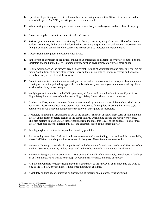- 12. Operators of gasoline-powered aircraft must have a fire extinguisher within 10 feet of the aircraft and in view of all flyers. An ABC type extinguisher is recommended.
- 13. When starting or running an engine or motor, make sure that you and anyone nearby is clear of the prop arc.
- 14. Direct the prop blast away from other aircraft and people.
- 15. Perform your initial turn after take-off away from the pit, spectators, and parking area. Thereafter, do not perform maneuvers, flights of any kind, or landing over the pit, spectators, or parking area. Absolutely no flying is permitted behind the white safety line marker posts as indicated on Attachment A.
- 16. Always stand in the pilot's box/station when flying.
- 17. In the event of a problem or dead stick, announce an emergency and attempt to fly away from the pits and spectators and land immediately. Landing priority must be given immediately by all other pilots.
- 18. Prior to walking out on the runway, give a loud verbal warning of your intention and make sure you are not running out in front of an aircraft in motion. Stay on the runway only as long as necessary and announce verbally when you are clear of the runway.
- 19. Do not start your taxi onto the runway until you have checked to make sure the runway is clear and no one is taking off or making a landing approach. Loudly and clearly announce your intentions of taking off and in which direction you are doing so.
- 20. No flying over Amrein Rd. In the Helicopter Area, all flying will be south of the Primary Flying Area Flight Safety Line and west of the helicopter Flight Safety Line as shown on Attachment A.
- 21. Careless, reckless, and/or dangerous flying, as determined by any two or more club members, shall not be permitted. Please do not hesitate to express your concerns to fellow pilots regarding their flying style if it bothers you or you believe it compromises the safety of other pilots or spectators.
- 22. Absolutely no taxiing of aircraft into or out of the pit area. The pilot or helper must carry or hold onto the aircraft until past the concrete section of the center taxiway when going toward the runway or pit area. This also pertains to large aircraft that are taxiing from the grass that is east of the pit area. Pilots of these aircraft must hold onto the aircraft until past the concrete section of the center taxiway.
- 23. Running engines or motors in the pavilion is strictly prohibited.
- 24. For gas and glow engines, fuel catch tanks are recommended when fueling. If a catch tank is not available, please fuel/defuel over the patio blocks located in the grass. Never fuel/defuel over asphalt.
- 25. Helicopter "hover practice" should be performed in the helicopter flying/hover area located 100' west of the pavilion (See Attachment A). Pilots must stand in the Helicopter Pilot's Station per Attachment A.
- 26. Helicopter flying in the Primary Flying Area is permitted and all safety rules apply. No takeoffs or landings on or from the taxiways are allowed except between the safety fence and edge of runway.
- 27. Hi-Start and winches for glider flying may be set up parallel to the runway or at an angle into the wind so long as the Hi-Start, or winch line, is not across the runway at launch.
- 28. Absolutely no hunting, or exhibiting or discharging of firearms on club property is permitted.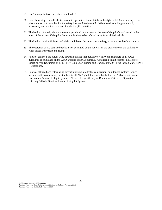- 29. Don't charge batteries anywhere unattended!
- 30. Hand launching of small, electric aircraft is permitted immediately to the right or left (east or west) of the pilot's station but never behind the safety line per Attachment A. When hand launching an aircraft, announce your intention to other pilots in the pilot's station.
- 31. The landing of small, electric aircraft is permitted on the grass to the east of the pilot's station and to the north of the pit area if the pilot deems the landing to be safe and away from all individuals.
- 32. The landing of all sailplanes and gliders will be on the runway or on the grass to the north of the runway.
- 33. The operation of RC cars and trucks is not permitted on the runway, in the pit areas or in the parking lot when pilots are present and flying.
- 34. Pilots of all fixed and rotary wing aircraft utilizing first person view (FPV) must adhere to all AMA guidelines as published on the AMA website under Documents/ Advanced Flight Systems. Please refer specifically to Document #540-E – FPV Club Sport Racing and Document #550 – First Person View (FPV) – Operations.
- 35. Pilots of all fixed and rotary wing aircraft utilizing a failsafe, stabilization, or autopilot systems (which include multi-rotor drones) must adhere to all AMA guidelines as published on the AMA website under Documents/Advanced Flight Systems. Please refer specifically to Document #560 – RC Operation Utilizing Failsafe, Stabilization and Autopilot Systems.